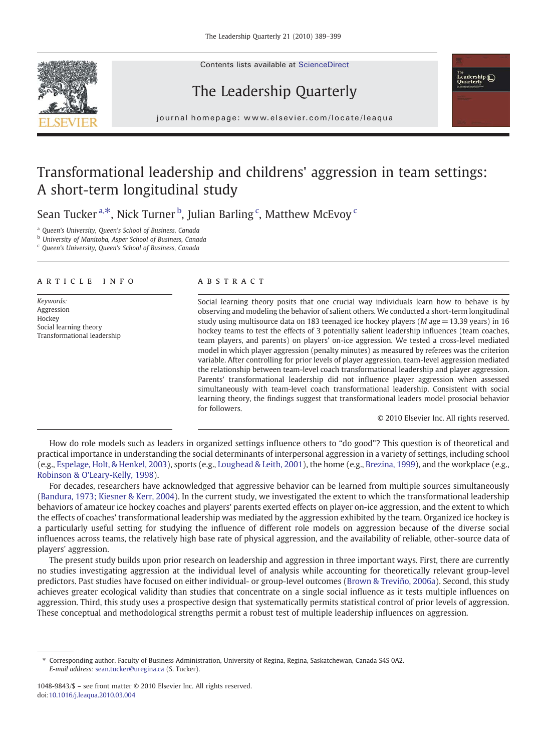Contents lists available at ScienceDirect







j o u r n a l h om e p a g e r. c om e p a g e r. c om / l o c a t e a t e a t e l o c a t e l o c a t e a q u<br>L

# Transformational leadership and childrens' aggression in team settings: A short-term longitudinal study

Sean Tucker <sup>a, $\ast$ </sup>, Nick Turner  $^{\rm b}$ , Julian Barling  $^{\rm c}$ , Matthew McEvoy  $^{\rm c}$ 

<sup>a</sup> Queen's University, Queen's School of Business, Canada

**b University of Manitoba, Asper School of Business, Canada** 

<sup>c</sup> Queen's University, Queen's School of Business, Canada

#### article info abstract

Keywords: Aggression Hockey Social learning theory Transformational leadership

Social learning theory posits that one crucial way individuals learn how to behave is by observing and modeling the behavior of salient others. We conducted a short-term longitudinal study using multisource data on 183 teenaged ice hockey players  $(M \, age = 13.39 \, years)$  in 16 hockey teams to test the effects of 3 potentially salient leadership influences (team coaches, team players, and parents) on players' on-ice aggression. We tested a cross-level mediated model in which player aggression (penalty minutes) as measured by referees was the criterion variable. After controlling for prior levels of player aggression, team-level aggression mediated the relationship between team-level coach transformational leadership and player aggression. Parents' transformational leadership did not influence player aggression when assessed simultaneously with team-level coach transformational leadership. Consistent with social learning theory, the findings suggest that transformational leaders model prosocial behavior for followers.

© 2010 Elsevier Inc. All rights reserved.

How do role models such as leaders in organized settings influence others to "do good"? This question is of theoretical and practical importance in understanding the social determinants of interpersonal aggression in a variety of settings, including school (e.g., [Espelage, Holt, & Henkel, 2003\)](#page-9-0), sports (e.g., [Loughead & Leith, 2001](#page-9-0)), the home (e.g., [Brezina, 1999](#page-9-0)), and the workplace (e.g., [Robinson & O'Leary-Kelly, 1998\)](#page-9-0).

For decades, researchers have acknowledged that aggressive behavior can be learned from multiple sources simultaneously [\(Bandura, 1973; Kiesner & Kerr, 2004](#page-9-0)). In the current study, we investigated the extent to which the transformational leadership behaviors of amateur ice hockey coaches and players' parents exerted effects on player on-ice aggression, and the extent to which the effects of coaches' transformational leadership was mediated by the aggression exhibited by the team. Organized ice hockey is a particularly useful setting for studying the influence of different role models on aggression because of the diverse social influences across teams, the relatively high base rate of physical aggression, and the availability of reliable, other-source data of players' aggression.

The present study builds upon prior research on leadership and aggression in three important ways. First, there are currently no studies investigating aggression at the individual level of analysis while accounting for theoretically relevant group-level predictors. Past studies have focused on either individual- or group-level outcomes ([Brown & Treviño, 2006a](#page-9-0)). Second, this study achieves greater ecological validity than studies that concentrate on a single social influence as it tests multiple influences on aggression. Third, this study uses a prospective design that systematically permits statistical control of prior levels of aggression. These conceptual and methodological strengths permit a robust test of multiple leadership influences on aggression.

<sup>⁎</sup> Corresponding author. Faculty of Business Administration, University of Regina, Regina, Saskatchewan, Canada S4S 0A2. E-mail address: [sean.tucker@uregina.ca](mailto:sean.tucker@uregina.ca) (S. Tucker).

<sup>1048-9843/\$</sup> – see front matter © 2010 Elsevier Inc. All rights reserved. doi[:10.1016/j.leaqua.2010.03.004](http://dx.doi.org/10.1016/j.leaqua.2010.03.004)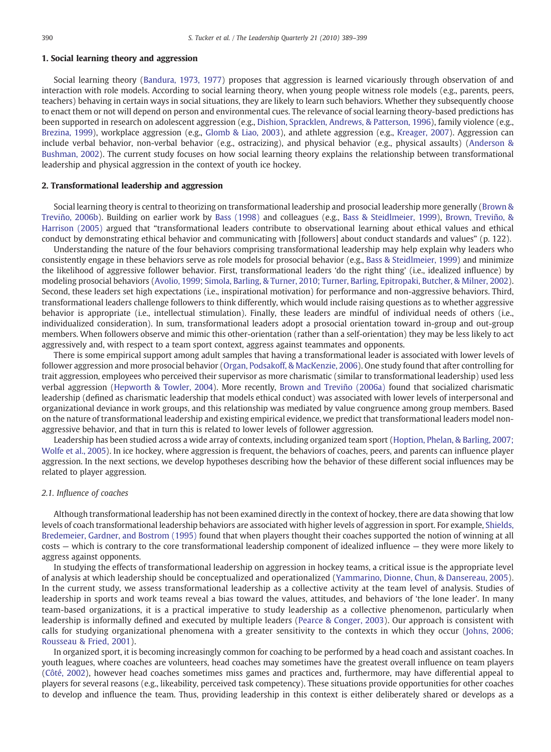### 1. Social learning theory and aggression

Social learning theory ([Bandura, 1973, 1977](#page-9-0)) proposes that aggression is learned vicariously through observation of and interaction with role models. According to social learning theory, when young people witness role models (e.g., parents, peers, teachers) behaving in certain ways in social situations, they are likely to learn such behaviors. Whether they subsequently choose to enact them or not will depend on person and environmental cues. The relevance of social learning theory-based predictions has been supported in research on adolescent aggression (e.g., [Dishion, Spracklen, Andrews, & Patterson, 1996\)](#page-9-0), family violence (e.g., [Brezina, 1999\)](#page-9-0), workplace aggression (e.g., [Glomb & Liao, 2003\)](#page-9-0), and athlete aggression (e.g., [Kreager, 2007\)](#page-9-0). Aggression can include verbal behavior, non-verbal behavior (e.g., ostracizing), and physical behavior (e.g., physical assaults) ([Anderson &](#page-9-0) [Bushman, 2002\)](#page-9-0). The current study focuses on how social learning theory explains the relationship between transformational leadership and physical aggression in the context of youth ice hockey.

### 2. Transformational leadership and aggression

Social learning theory is central to theorizing on transformational leadership and prosocial leadership more generally [\(Brown &](#page-9-0) [Treviño, 2006b\)](#page-9-0). Building on earlier work by [Bass \(1998\)](#page-9-0) and colleagues (e.g., [Bass & Steidlmeier, 1999](#page-9-0)), [Brown, Treviño, &](#page-9-0) [Harrison \(2005\)](#page-9-0) argued that "transformational leaders contribute to observational learning about ethical values and ethical conduct by demonstrating ethical behavior and communicating with [followers] about conduct standards and values" (p. 122).

Understanding the nature of the four behaviors comprising transformational leadership may help explain why leaders who consistently engage in these behaviors serve as role models for prosocial behavior (e.g., [Bass & Steidlmeier, 1999\)](#page-9-0) and minimize the likelihood of aggressive follower behavior. First, transformational leaders 'do the right thing' (i.e., idealized influence) by modeling prosocial behaviors ([Avolio, 1999; Simola, Barling, & Turner, 2010; Turner, Barling, Epitropaki, Butcher, & Milner, 2002](#page-9-0)). Second, these leaders set high expectations (i.e., inspirational motivation) for performance and non-aggressive behaviors. Third, transformational leaders challenge followers to think differently, which would include raising questions as to whether aggressive behavior is appropriate (i.e., intellectual stimulation). Finally, these leaders are mindful of individual needs of others (i.e., individualized consideration). In sum, transformational leaders adopt a prosocial orientation toward in-group and out-group members. When followers observe and mimic this other-orientation (rather than a self-orientation) they may be less likely to act aggressively and, with respect to a team sport context, aggress against teammates and opponents.

There is some empirical support among adult samples that having a transformational leader is associated with lower levels of follower aggression and more prosocial behavior ([Organ, Podsakoff, & MacKenzie, 2006](#page-9-0)). One study found that after controlling for trait aggression, employees who perceived their supervisor as more charismatic (similar to transformational leadership) used less verbal aggression ([Hepworth & Towler, 2004](#page-9-0)). More recently, [Brown and Treviño \(2006a\)](#page-9-0) found that socialized charismatic leadership (defined as charismatic leadership that models ethical conduct) was associated with lower levels of interpersonal and organizational deviance in work groups, and this relationship was mediated by value congruence among group members. Based on the nature of transformational leadership and existing empirical evidence, we predict that transformational leaders model nonaggressive behavior, and that in turn this is related to lower levels of follower aggression.

Leadership has been studied across a wide array of contexts, including organized team sport ([Hoption, Phelan, & Barling, 2007;](#page-9-0) [Wolfe et al., 2005\)](#page-9-0). In ice hockey, where aggression is frequent, the behaviors of coaches, peers, and parents can influence player aggression. In the next sections, we develop hypotheses describing how the behavior of these different social influences may be related to player aggression.

#### 2.1. Influence of coaches

Although transformational leadership has not been examined directly in the context of hockey, there are data showing that low levels of coach transformational leadership behaviors are associated with higher levels of aggression in sport. For example, [Shields,](#page-9-0) [Bredemeier, Gardner, and Bostrom \(1995\)](#page-9-0) found that when players thought their coaches supported the notion of winning at all costs — which is contrary to the core transformational leadership component of idealized influence — they were more likely to aggress against opponents.

In studying the effects of transformational leadership on aggression in hockey teams, a critical issue is the appropriate level of analysis at which leadership should be conceptualized and operationalized ([Yammarino, Dionne, Chun, & Dansereau, 2005](#page-10-0)). In the current study, we assess transformational leadership as a collective activity at the team level of analysis. Studies of leadership in sports and work teams reveal a bias toward the values, attitudes, and behaviors of 'the lone leader'. In many team-based organizations, it is a practical imperative to study leadership as a collective phenomenon, particularly when leadership is informally defined and executed by multiple leaders ([Pearce & Conger, 2003](#page-9-0)). Our approach is consistent with calls for studying organizational phenomena with a greater sensitivity to the contexts in which they occur [\(Johns, 2006;](#page-9-0) [Rousseau & Fried, 2001](#page-9-0)).

In organized sport, it is becoming increasingly common for coaching to be performed by a head coach and assistant coaches. In youth leagues, where coaches are volunteers, head coaches may sometimes have the greatest overall influence on team players ([Côté, 2002](#page-9-0)), however head coaches sometimes miss games and practices and, furthermore, may have differential appeal to players for several reasons (e.g., likeability, perceived task competency). These situations provide opportunities for other coaches to develop and influence the team. Thus, providing leadership in this context is either deliberately shared or develops as a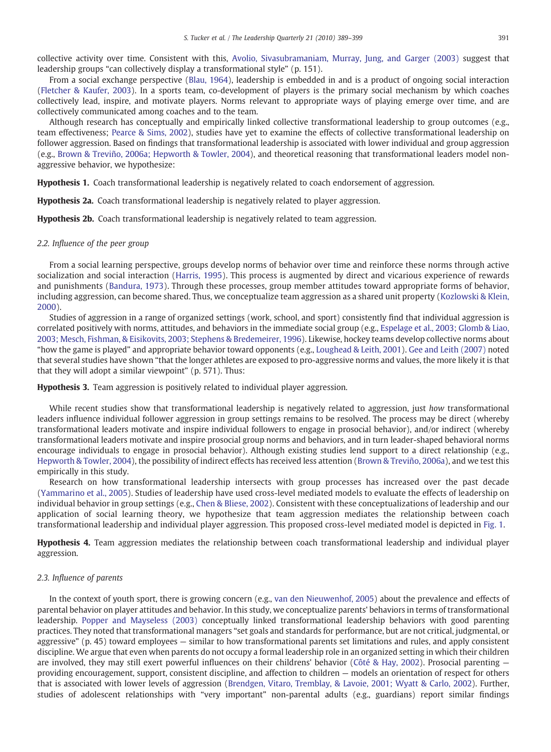<span id="page-2-0"></span>From a social exchange perspective [\(Blau, 1964](#page-9-0)), leadership is embedded in and is a product of ongoing social interaction [\(Fletcher & Kaufer, 2003\)](#page-9-0). In a sports team, co-development of players is the primary social mechanism by which coaches collectively lead, inspire, and motivate players. Norms relevant to appropriate ways of playing emerge over time, and are collectively communicated among coaches and to the team.

Although research has conceptually and empirically linked collective transformational leadership to group outcomes (e.g., team effectiveness; [Pearce & Sims, 2002](#page-9-0)), studies have yet to examine the effects of collective transformational leadership on follower aggression. Based on findings that transformational leadership is associated with lower individual and group aggression (e.g., [Brown & Treviño, 2006a; Hepworth & Towler, 2004\)](#page-9-0), and theoretical reasoning that transformational leaders model nonaggressive behavior, we hypothesize:

Hypothesis 1. Coach transformational leadership is negatively related to coach endorsement of aggression.

Hypothesis 2a. Coach transformational leadership is negatively related to player aggression.

Hypothesis 2b. Coach transformational leadership is negatively related to team aggression.

#### 2.2. Influence of the peer group

From a social learning perspective, groups develop norms of behavior over time and reinforce these norms through active socialization and social interaction [\(Harris, 1995\)](#page-9-0). This process is augmented by direct and vicarious experience of rewards and punishments ([Bandura, 1973\)](#page-9-0). Through these processes, group member attitudes toward appropriate forms of behavior, including aggression, can become shared. Thus, we conceptualize team aggression as a shared unit property [\(Kozlowski & Klein,](#page-9-0) [2000](#page-9-0)).

Studies of aggression in a range of organized settings (work, school, and sport) consistently find that individual aggression is correlated positively with norms, attitudes, and behaviors in the immediate social group (e.g., [Espelage et al., 2003; Glomb & Liao,](#page-9-0) [2003; Mesch, Fishman, & Eisikovits, 2003; Stephens & Bredemeirer, 1996\)](#page-9-0). Likewise, hockey teams develop collective norms about "how the game is played" and appropriate behavior toward opponents (e.g., [Loughead & Leith, 2001\)](#page-9-0). [Gee and Leith \(2007\)](#page-9-0) noted that several studies have shown "that the longer athletes are exposed to pro-aggressive norms and values, the more likely it is that that they will adopt a similar viewpoint" (p. 571). Thus:

Hypothesis 3. Team aggression is positively related to individual player aggression.

While recent studies show that transformational leadership is negatively related to aggression, just how transformational leaders influence individual follower aggression in group settings remains to be resolved. The process may be direct (whereby transformational leaders motivate and inspire individual followers to engage in prosocial behavior), and/or indirect (whereby transformational leaders motivate and inspire prosocial group norms and behaviors, and in turn leader-shaped behavioral norms encourage individuals to engage in prosocial behavior). Although existing studies lend support to a direct relationship (e.g., [Hepworth & Towler, 2004\)](#page-9-0), the possibility of indirect effects has received less attention [\(Brown & Treviño, 2006a\)](#page-9-0), and we test this empirically in this study.

Research on how transformational leadership intersects with group processes has increased over the past decade [\(Yammarino et al., 2005](#page-10-0)). Studies of leadership have used cross-level mediated models to evaluate the effects of leadership on individual behavior in group settings (e.g., [Chen & Bliese, 2002\)](#page-9-0). Consistent with these conceptualizations of leadership and our application of social learning theory, we hypothesize that team aggression mediates the relationship between coach transformational leadership and individual player aggression. This proposed cross-level mediated model is depicted in [Fig. 1](#page-3-0).

Hypothesis 4. Team aggression mediates the relationship between coach transformational leadership and individual player aggression.

# 2.3. Influence of parents

In the context of youth sport, there is growing concern (e.g., [van den Nieuwenhof, 2005](#page-10-0)) about the prevalence and effects of parental behavior on player attitudes and behavior. In this study, we conceptualize parents' behaviors in terms of transformational leadership. [Popper and Mayseless \(2003\)](#page-9-0) conceptually linked transformational leadership behaviors with good parenting practices. They noted that transformational managers "set goals and standards for performance, but are not critical, judgmental, or aggressive" (p. 45) toward employees — similar to how transformational parents set limitations and rules, and apply consistent discipline. We argue that even when parents do not occupy a formal leadership role in an organized setting in which their children are involved, they may still exert powerful influences on their childrens' behavior [\(Côté & Hay, 2002](#page-9-0)). Prosocial parenting  $$ providing encouragement, support, consistent discipline, and affection to children — models an orientation of respect for others that is associated with lower levels of aggression [\(Brendgen, Vitaro, Tremblay, & Lavoie, 2001; Wyatt & Carlo, 2002](#page-9-0)). Further, studies of adolescent relationships with "very important" non-parental adults (e.g., guardians) report similar findings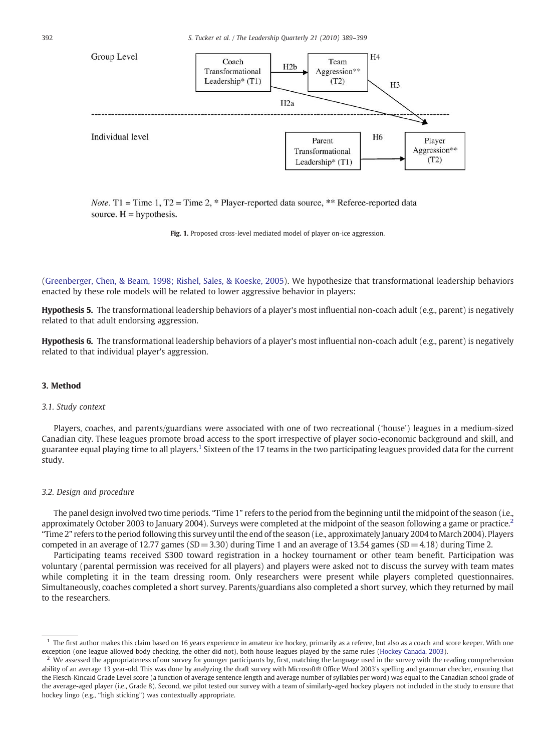<span id="page-3-0"></span>

*Note*. T1 = Time 1, T2 = Time 2, \* Player-reported data source, \*\* Referee-reported data source.  $H =$ hypothesis.

Fig. 1. Proposed cross-level mediated model of player on-ice aggression.

([Greenberger, Chen, & Beam, 1998; Rishel, Sales, & Koeske, 2005](#page-9-0)). We hypothesize that transformational leadership behaviors enacted by these role models will be related to lower aggressive behavior in players:

Hypothesis 5. The transformational leadership behaviors of a player's most influential non-coach adult (e.g., parent) is negatively related to that adult endorsing aggression.

**Hypothesis 6.** The transformational leadership behaviors of a player's most influential non-coach adult (e.g., parent) is negatively related to that individual player's aggression.

### 3. Method

#### 3.1. Study context

Players, coaches, and parents/guardians were associated with one of two recreational ('house') leagues in a medium-sized Canadian city. These leagues promote broad access to the sport irrespective of player socio-economic background and skill, and guarantee equal playing time to all players.<sup>1</sup> Sixteen of the 17 teams in the two participating leagues provided data for the current study.

#### 3.2. Design and procedure

The panel design involved two time periods. "Time 1" refers to the period from the beginning until the midpoint of the season (i.e., approximately October 2003 to January 2004). Surveys were completed at the midpoint of the season following a game or practice.<sup>2</sup> "Time 2" refers to the period following this survey until the end of the season (i.e., approximately January 2004 to March 2004). Players competed in an average of 12.77 games (SD=3.30) during Time 1 and an average of 13.54 games (SD=4.18) during Time 2.

Participating teams received \$300 toward registration in a hockey tournament or other team benefit. Participation was voluntary (parental permission was received for all players) and players were asked not to discuss the survey with team mates while completing it in the team dressing room. Only researchers were present while players completed questionnaires. Simultaneously, coaches completed a short survey. Parents/guardians also completed a short survey, which they returned by mail to the researchers.

 $<sup>1</sup>$  The first author makes this claim based on 16 years experience in amateur ice hockey, primarily as a referee, but also as a coach and score keeper. With one</sup> exception (one league allowed body checking, the other did not), both house leagues played by the same rules [\(Hockey Canada, 2003](#page-9-0)).

 $<sup>2</sup>$  We assessed the appropriateness of our survey for younger participants by, first, matching the language used in the survey with the reading comprehension</sup> ability of an average 13 year-old. This was done by analyzing the draft survey with Microsoft® Office Word 2003's spelling and grammar checker, ensuring that the Flesch-Kincaid Grade Level score (a function of average sentence length and average number of syllables per word) was equal to the Canadian school grade of the average-aged player (i.e., Grade 8). Second, we pilot tested our survey with a team of similarly-aged hockey players not included in the study to ensure that hockey lingo (e.g., "high sticking") was contextually appropriate.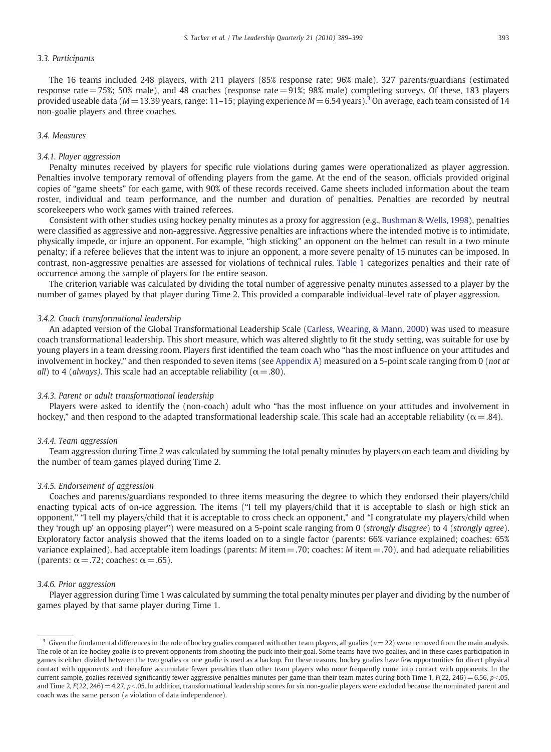# 3.3. Participants

The 16 teams included 248 players, with 211 players (85% response rate; 96% male), 327 parents/guardians (estimated response rate  $= 75\%$ ; 50% male), and 48 coaches (response rate  $= 91\%$ ; 98% male) completing surveys. Of these, 183 players provided useable data ( $M= 13.39$  years, range: 11–15; playing experience  $M= 6.54$  years).<sup>3</sup> On average, each team consisted of 14 non-goalie players and three coaches.

# 3.4. Measures

#### 3.4.1. Player aggression

Penalty minutes received by players for specific rule violations during games were operationalized as player aggression. Penalties involve temporary removal of offending players from the game. At the end of the season, officials provided original copies of "game sheets" for each game, with 90% of these records received. Game sheets included information about the team roster, individual and team performance, and the number and duration of penalties. Penalties are recorded by neutral scorekeepers who work games with trained referees.

Consistent with other studies using hockey penalty minutes as a proxy for aggression (e.g., [Bushman & Wells, 1998](#page-9-0)), penalties were classified as aggressive and non-aggressive. Aggressive penalties are infractions where the intended motive is to intimidate, physically impede, or injure an opponent. For example, "high sticking" an opponent on the helmet can result in a two minute penalty; if a referee believes that the intent was to injure an opponent, a more severe penalty of 15 minutes can be imposed. In contrast, non-aggressive penalties are assessed for violations of technical rules. [Table 1](#page-5-0) categorizes penalties and their rate of occurrence among the sample of players for the entire season.

The criterion variable was calculated by dividing the total number of aggressive penalty minutes assessed to a player by the number of games played by that player during Time 2. This provided a comparable individual-level rate of player aggression.

#### 3.4.2. Coach transformational leadership

An adapted version of the Global Transformational Leadership Scale [\(Carless, Wearing, & Mann, 2000\)](#page-9-0) was used to measure coach transformational leadership. This short measure, which was altered slightly to fit the study setting, was suitable for use by young players in a team dressing room. Players first identified the team coach who "has the most influence on your attitudes and involvement in hockey," and then responded to seven items (see [Appendix A\)](#page-8-0) measured on a 5-point scale ranging from 0 (not at all) to 4 (always). This scale had an acceptable reliability ( $\alpha = .80$ ).

#### 3.4.3. Parent or adult transformational leadership

Players were asked to identify the (non-coach) adult who "has the most influence on your attitudes and involvement in hockey," and then respond to the adapted transformational leadership scale. This scale had an acceptable reliability ( $\alpha$  = .84).

#### 3.4.4. Team aggression

Team aggression during Time 2 was calculated by summing the total penalty minutes by players on each team and dividing by the number of team games played during Time 2.

# 3.4.5. Endorsement of aggression

Coaches and parents/guardians responded to three items measuring the degree to which they endorsed their players/child enacting typical acts of on-ice aggression. The items ("I tell my players/child that it is acceptable to slash or high stick an opponent," "I tell my players/child that it is acceptable to cross check an opponent," and "I congratulate my players/child when they 'rough up' an opposing player") were measured on a 5-point scale ranging from 0 (strongly disagree) to 4 (strongly agree). Exploratory factor analysis showed that the items loaded on to a single factor (parents: 66% variance explained; coaches: 65% variance explained), had acceptable item loadings (parents: M item = .70; coaches: M item = .70), and had adequate reliabilities (parents:  $\alpha = .72$ ; coaches:  $\alpha = .65$ ).

### 3.4.6. Prior aggression

Player aggression during Time 1 was calculated by summing the total penalty minutes per player and dividing by the number of games played by that same player during Time 1.

 $3$  Given the fundamental differences in the role of hockey goalies compared with other team players, all goalies ( $n=22$ ) were removed from the main analysis. The role of an ice hockey goalie is to prevent opponents from shooting the puck into their goal. Some teams have two goalies, and in these cases participation in games is either divided between the two goalies or one goalie is used as a backup. For these reasons, hockey goalies have few opportunities for direct physical contact with opponents and therefore accumulate fewer penalties than other team players who more frequently come into contact with opponents. In the current sample, goalies received significantly fewer aggressive penalties minutes per game than their team mates during both Time 1,  $F(22, 246) = 6.56$ ,  $p < 0.05$ , and Time 2,  $F(22, 246) = 4.27$ ,  $p < .05$ . In addition, transformational leadership scores for six non-goalie players were excluded because the nominated parent and coach was the same person (a violation of data independence).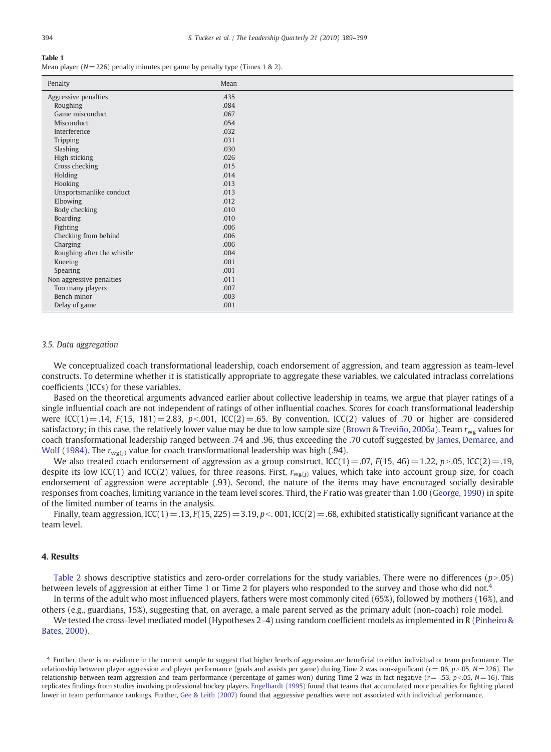#### <span id="page-5-0"></span>Table 1

Mean player ( $N = 226$ ) penalty minutes per game by penalty type (Times 1 & 2).

| Penalty                    | Mean |
|----------------------------|------|
| Aggressive penalties       | .435 |
| Roughing                   | .084 |
| Game misconduct            | .067 |
| Misconduct                 | .054 |
| Interference               | .032 |
| Tripping                   | .031 |
| Slashing                   | .030 |
| High sticking              | .026 |
| Cross checking             | .015 |
| Holding                    | .014 |
| Hooking                    | .013 |
| Unsportsmanlike conduct    | .013 |
| Elbowing                   | .012 |
| Body checking              | .010 |
| Boarding                   | .010 |
| Fighting                   | .006 |
| Checking from behind       | .006 |
| Charging                   | .006 |
| Roughing after the whistle | .004 |
| Kneeing                    | .001 |
| Spearing                   | .001 |
| Non aggressive penalties   | .011 |
| Too many players           | .007 |
| Bench minor                | .003 |
| Delay of game              | .001 |

## 3.5. Data aggregation

We conceptualized coach transformational leadership, coach endorsement of aggression, and team aggression as team-level constructs. To determine whether it is statistically appropriate to aggregate these variables, we calculated intraclass correlations coefficients (ICCs) for these variables.

Based on the theoretical arguments advanced earlier about collective leadership in teams, we argue that player ratings of a single influential coach are not independent of ratings of other influential coaches. Scores for coach transformational leadership were ICC(1) = .14,  $F(15, 181)$  = 2.83,  $p<0.001$ , ICC(2) = .65. By convention, ICC(2) values of .70 or higher are considered satisfactory; in this case, the relatively lower value may be due to low sample size [\(Brown & Treviño, 2006a](#page-9-0)). Team  $r_{wg}$  values for coach transformational leadership ranged between .74 and .96, thus exceeding the .70 cutoff suggested by [James, Demaree, and](#page-9-0) [Wolf \(1984\).](#page-9-0) The  $r_{\text{wg(i)}}$  value for coach transformational leadership was high (.94).

We also treated coach endorsement of aggression as a group construct,  $ICC(1) = .07$ ,  $F(15, 46) = 1.22$ ,  $p > .05$ ,  $ICC(2) = .19$ , despite its low ICC(1) and ICC(2) values, for three reasons. First,  $r_{\text{wg}(i)}$  values, which take into account group size, for coach endorsement of aggression were acceptable (.93). Second, the nature of the items may have encouraged socially desirable responses from coaches, limiting variance in the team level scores. Third, the F ratio was greater than 1.00 ([George, 1990](#page-9-0)) in spite of the limited number of teams in the analysis.

Finally, team aggression, ICC(1) = .13,  $F(15, 225)$  = 3.19, p < .001, ICC(2) = .68, exhibited statistically significant variance at the team level.

# 4. Results

[Table 2](#page-6-0) shows descriptive statistics and zero-order correlations for the study variables. There were no differences ( $p>05$ ) between levels of aggression at either Time 1 or Time 2 for players who responded to the survey and those who did not.<sup>4</sup>

In terms of the adult who most influenced players, fathers were most commonly cited (65%), followed by mothers (16%), and others (e.g., guardians, 15%), suggesting that, on average, a male parent served as the primary adult (non-coach) role model.

We tested the cross-level mediated model (Hypotheses 2-4) using random coefficient models as implemented in R ([Pinheiro &](#page-9-0) [Bates, 2000\)](#page-9-0).

<sup>&</sup>lt;sup>4</sup> Further, there is no evidence in the current sample to suggest that higher levels of aggression are beneficial to either individual or team performance. The relationship between player aggression and player performance (goals and assists per game) during Time 2 was non-significant ( $r = .06$ ,  $p > .05$ ,  $N = 226$ ). The relationship between team aggression and team performance (percentage of games won) during Time 2 was in fact negative  $(r=-53, p<0.05, N=16)$ . This replicates findings from studies involving professional hockey players. [Engelhardt \(1995\)](#page-9-0) found that teams that accumulated more penalties for fighting placed lower in team performance rankings. Further, [Gee & Leith \(2007\)](#page-9-0) found that aggressive penalties were not associated with individual performance.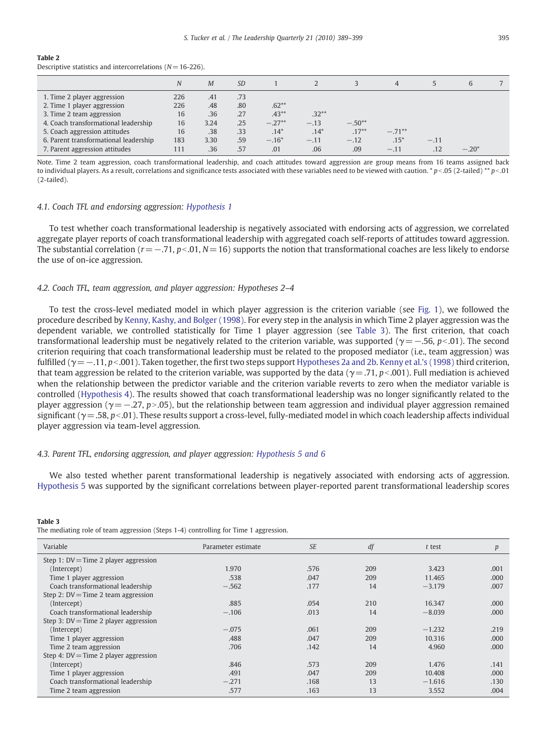# <span id="page-6-0"></span>Table 2

Descriptive statistics and intercorrelations ( $N= 16-226$ ).

|                                       | N   | M    | <b>SD</b> |          |          |          | $\overline{A}$ |        | 6       |  |
|---------------------------------------|-----|------|-----------|----------|----------|----------|----------------|--------|---------|--|
| 1. Time 2 player aggression           | 226 | .41  | .73       |          |          |          |                |        |         |  |
| 2. Time 1 player aggression           | 226 | .48  | .80       | $.62**$  |          |          |                |        |         |  |
| 3. Time 2 team aggression             | 16  | .36  | .27       | $.43***$ | $.32***$ |          |                |        |         |  |
| 4. Coach transformational leadership  | 16  | 3.24 | .25       | $-.27**$ | $-.13$   | $-.50**$ |                |        |         |  |
| 5. Coach aggression attitudes         | 16  | .38  | .33       | $.14*$   | $.14*$   | $.17***$ | $-.71**$       |        |         |  |
| 6. Parent transformational leadership | 183 | 3.30 | .59       | $-.16*$  | $-.11$   | $-.12$   | $.15*$         | $-.11$ |         |  |
| 7. Parent aggression attitudes        | 111 | .36  | .57       | .01      | .06      | .09      | $-.11$         | .12    | $-.20*$ |  |

Note. Time 2 team aggression, coach transformational leadership, and coach attitudes toward aggression are group means from 16 teams assigned back to individual players. As a result, correlations and significance tests associated with these variables need to be viewed with caution. \*  $p<0.05$  (2-tailed) \*\*  $p<0.01$ (2-tailed).

#### 4.1. Coach TFL and endorsing aggression: [Hypothesis 1](#page-2-0)

To test whether coach transformational leadership is negatively associated with endorsing acts of aggression, we correlated aggregate player reports of coach transformational leadership with aggregated coach self-reports of attitudes toward aggression. The substantial correlation ( $r=-.71$ ,  $p<.01$ ,  $N=16$ ) supports the notion that transformational coaches are less likely to endorse the use of on-ice aggression.

#### 4.2. Coach TFL, team aggression, and player aggression: Hypotheses 2–4

To test the cross-level mediated model in which player aggression is the criterion variable (see [Fig. 1](#page-3-0)), we followed the procedure described by [Kenny, Kashy, and Bolger \(1998\)](#page-9-0). For every step in the analysis in which Time 2 player aggression was the dependent variable, we controlled statistically for Time 1 player aggression (see Table 3). The first criterion, that coach transformational leadership must be negatively related to the criterion variable, was supported ( $\gamma =$  -.56, p<.01). The second criterion requiring that coach transformational leadership must be related to the proposed mediator (i.e., team aggression) was fulfilled ( $\gamma = -.11$ , p<.001). Taken together, the first two steps support [Hypotheses 2a and 2b.](#page-2-0) [Kenny et al.'s \(1998\)](#page-9-0) third criterion, that team aggression be related to the criterion variable, was supported by the data ( $\gamma = .71$ ,  $p < .001$ ). Full mediation is achieved when the relationship between the predictor variable and the criterion variable reverts to zero when the mediator variable is controlled ([Hypothesis 4](#page-2-0)). The results showed that coach transformational leadership was no longer significantly related to the player aggression ( $\gamma = -0.27$ , p>.05), but the relationship between team aggression and individual player aggression remained significant ( $\gamma$  = .58, p<.01). These results support a cross-level, fully-mediated model in which coach leadership affects individual player aggression via team-level aggression.

#### 4.3. Parent TFL, endorsing aggression, and player aggression: [Hypothesis 5 and 6](#page-3-0)

We also tested whether parent transformational leadership is negatively associated with endorsing acts of aggression. [Hypothesis 5](#page-3-0) was supported by the significant correlations between player-reported parent transformational leadership scores

Table 3

The mediating role of team aggression (Steps 1-4) controlling for Time 1 aggression.

| Variable                                | Parameter estimate | <b>SE</b> | df  | t test   | p    |
|-----------------------------------------|--------------------|-----------|-----|----------|------|
| Step 1: $DV = Time$ 2 player aggression |                    |           |     |          |      |
| (Intercept)                             | 1.970              | .576      | 209 | 3.423    | .001 |
| Time 1 player aggression                | .538               | .047      | 209 | 11.465   | .000 |
| Coach transformational leadership       | $-.562$            | .177      | 14  | $-3.179$ | .007 |
| Step 2: $DV = Time$ 2 team aggression   |                    |           |     |          |      |
| (Intercept)                             | .885               | .054      | 210 | 16.347   | .000 |
| Coach transformational leadership       | $-.106$            | .013      | 14  | $-8.039$ | .000 |
| Step 3: $DV = Time$ 2 player aggression |                    |           |     |          |      |
| (Intercept)                             | $-.075$            | .061      | 209 | $-1.232$ | .219 |
| Time 1 player aggression                | .488               | .047      | 209 | 10.316   | .000 |
| Time 2 team aggression                  | .706               | .142      | 14  | 4.960    | .000 |
| Step 4: $DV = Time$ 2 player aggression |                    |           |     |          |      |
| (Intercept)                             | .846               | .573      | 209 | 1.476    | .141 |
| Time 1 player aggression                | .491               | .047      | 209 | 10.408   | .000 |
| Coach transformational leadership       | $-.271$            | .168      | 13  | $-1.616$ | .130 |
| Time 2 team aggression                  | .577               | .163      | 13  | 3.552    | .004 |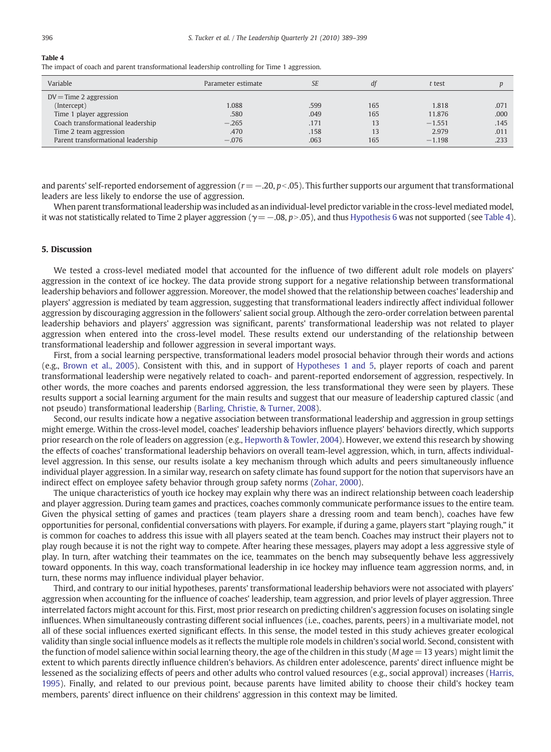#### Table 4

The impact of coach and parent transformational leadership controlling for Time 1 aggression.

| Variable                           | Parameter estimate | SE.  | df  | t test   |      |
|------------------------------------|--------------------|------|-----|----------|------|
| $DV = Time 2$ aggression           |                    |      |     |          |      |
| (Intercept)                        | 1.088              | .599 | 165 | 1.818    | .071 |
| Time 1 player aggression           | .580               | .049 | 165 | 11.876   | .000 |
| Coach transformational leadership  | $-.265$            | .171 |     | $-1.551$ | .145 |
| Time 2 team aggression             | .470               | .158 | 13  | 2.979    | .011 |
| Parent transformational leadership | $-.076$            | 063  | 165 | $-1.198$ | .233 |

and parents' self-reported endorsement of aggression ( $r=-.20$ ,  $p<05$ ). This further supports our argument that transformational leaders are less likely to endorse the use of aggression.

When parent transformational leadership was included as an individual-level predictor variable in the cross-level mediated model, it was not statistically related to Time 2 player aggression ( $\gamma = -0.08$ ,  $p > 0.05$ ), and thus [Hypothesis 6](#page-3-0) was not supported (see Table 4).

# 5. Discussion

We tested a cross-level mediated model that accounted for the influence of two different adult role models on players' aggression in the context of ice hockey. The data provide strong support for a negative relationship between transformational leadership behaviors and follower aggression. Moreover, the model showed that the relationship between coaches' leadership and players' aggression is mediated by team aggression, suggesting that transformational leaders indirectly affect individual follower aggression by discouraging aggression in the followers' salient social group. Although the zero-order correlation between parental leadership behaviors and players' aggression was significant, parents' transformational leadership was not related to player aggression when entered into the cross-level model. These results extend our understanding of the relationship between transformational leadership and follower aggression in several important ways.

First, from a social learning perspective, transformational leaders model prosocial behavior through their words and actions (e.g., [Brown et al., 2005\)](#page-9-0). Consistent with this, and in support of [Hypotheses 1 and 5](#page-2-0), player reports of coach and parent transformational leadership were negatively related to coach- and parent-reported endorsement of aggression, respectively. In other words, the more coaches and parents endorsed aggression, the less transformational they were seen by players. These results support a social learning argument for the main results and suggest that our measure of leadership captured classic (and not pseudo) transformational leadership [\(Barling, Christie, & Turner, 2008\)](#page-9-0).

Second, our results indicate how a negative association between transformational leadership and aggression in group settings might emerge. Within the cross-level model, coaches' leadership behaviors influence players' behaviors directly, which supports prior research on the role of leaders on aggression (e.g., [Hepworth & Towler, 2004\)](#page-9-0). However, we extend this research by showing the effects of coaches' transformational leadership behaviors on overall team-level aggression, which, in turn, affects individuallevel aggression. In this sense, our results isolate a key mechanism through which adults and peers simultaneously influence individual player aggression. In a similar way, research on safety climate has found support for the notion that supervisors have an indirect effect on employee safety behavior through group safety norms [\(Zohar, 2000\)](#page-10-0).

The unique characteristics of youth ice hockey may explain why there was an indirect relationship between coach leadership and player aggression. During team games and practices, coaches commonly communicate performance issues to the entire team. Given the physical setting of games and practices (team players share a dressing room and team bench), coaches have few opportunities for personal, confidential conversations with players. For example, if during a game, players start "playing rough," it is common for coaches to address this issue with all players seated at the team bench. Coaches may instruct their players not to play rough because it is not the right way to compete. After hearing these messages, players may adopt a less aggressive style of play. In turn, after watching their teammates on the ice, teammates on the bench may subsequently behave less aggressively toward opponents. In this way, coach transformational leadership in ice hockey may influence team aggression norms, and, in turn, these norms may influence individual player behavior.

Third, and contrary to our initial hypotheses, parents' transformational leadership behaviors were not associated with players' aggression when accounting for the influence of coaches' leadership, team aggression, and prior levels of player aggression. Three interrelated factors might account for this. First, most prior research on predicting children's aggression focuses on isolating single influences. When simultaneously contrasting different social influences (i.e., coaches, parents, peers) in a multivariate model, not all of these social influences exerted significant effects. In this sense, the model tested in this study achieves greater ecological validity than single social influence models as it reflects the multiple role models in children's social world. Second, consistent with the function of model salience within social learning theory, the age of the children in this study ( $M$  age = 13 years) might limit the extent to which parents directly influence children's behaviors. As children enter adolescence, parents' direct influence might be lessened as the socializing effects of peers and other adults who control valued resources (e.g., social approval) increases [\(Harris,](#page-9-0) [1995](#page-9-0)). Finally, and related to our previous point, because parents have limited ability to choose their child's hockey team members, parents' direct influence on their childrens' aggression in this context may be limited.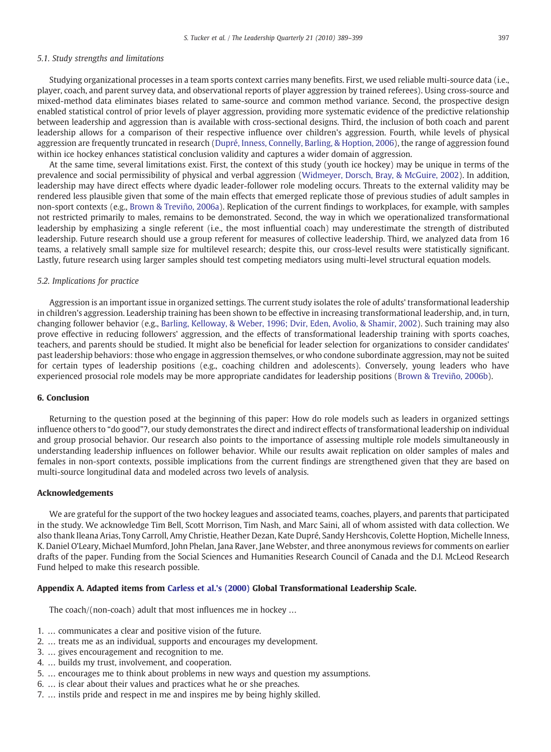# <span id="page-8-0"></span>5.1. Study strengths and limitations

Studying organizational processes in a team sports context carries many benefits. First, we used reliable multi-source data (i.e., player, coach, and parent survey data, and observational reports of player aggression by trained referees). Using cross-source and mixed-method data eliminates biases related to same-source and common method variance. Second, the prospective design enabled statistical control of prior levels of player aggression, providing more systematic evidence of the predictive relationship between leadership and aggression than is available with cross-sectional designs. Third, the inclusion of both coach and parent leadership allows for a comparison of their respective influence over children's aggression. Fourth, while levels of physical aggression are frequently truncated in research [\(Dupré, Inness, Connelly, Barling, & Hoption, 2006](#page-9-0)), the range of aggression found within ice hockey enhances statistical conclusion validity and captures a wider domain of aggression.

At the same time, several limitations exist. First, the context of this study (youth ice hockey) may be unique in terms of the prevalence and social permissibility of physical and verbal aggression [\(Widmeyer, Dorsch, Bray, & McGuire, 2002](#page-10-0)). In addition, leadership may have direct effects where dyadic leader-follower role modeling occurs. Threats to the external validity may be rendered less plausible given that some of the main effects that emerged replicate those of previous studies of adult samples in non-sport contexts (e.g., [Brown & Treviño, 2006a\)](#page-9-0). Replication of the current findings to workplaces, for example, with samples not restricted primarily to males, remains to be demonstrated. Second, the way in which we operationalized transformational leadership by emphasizing a single referent (i.e., the most influential coach) may underestimate the strength of distributed leadership. Future research should use a group referent for measures of collective leadership. Third, we analyzed data from 16 teams, a relatively small sample size for multilevel research; despite this, our cross-level results were statistically significant. Lastly, future research using larger samples should test competing mediators using multi-level structural equation models.

### 5.2. Implications for practice

Aggression is an important issue in organized settings. The current study isolates the role of adults' transformational leadership in children's aggression. Leadership training has been shown to be effective in increasing transformational leadership, and, in turn, changing follower behavior (e.g., [Barling, Kelloway, & Weber, 1996; Dvir, Eden, Avolio, & Shamir, 2002](#page-9-0)). Such training may also prove effective in reducing followers' aggression, and the effects of transformational leadership training with sports coaches, teachers, and parents should be studied. It might also be beneficial for leader selection for organizations to consider candidates' past leadership behaviors: those who engage in aggression themselves, or who condone subordinate aggression, may not be suited for certain types of leadership positions (e.g., coaching children and adolescents). Conversely, young leaders who have experienced prosocial role models may be more appropriate candidates for leadership positions ([Brown & Treviño, 2006b\)](#page-9-0).

#### 6. Conclusion

Returning to the question posed at the beginning of this paper: How do role models such as leaders in organized settings influence others to "do good"?, our study demonstrates the direct and indirect effects of transformational leadership on individual and group prosocial behavior. Our research also points to the importance of assessing multiple role models simultaneously in understanding leadership influences on follower behavior. While our results await replication on older samples of males and females in non-sport contexts, possible implications from the current findings are strengthened given that they are based on multi-source longitudinal data and modeled across two levels of analysis.

#### Acknowledgements

We are grateful for the support of the two hockey leagues and associated teams, coaches, players, and parents that participated in the study. We acknowledge Tim Bell, Scott Morrison, Tim Nash, and Marc Saini, all of whom assisted with data collection. We also thank Ileana Arias, Tony Carroll, Amy Christie, Heather Dezan, Kate Dupré, Sandy Hershcovis, Colette Hoption, Michelle Inness, K. Daniel O'Leary, Michael Mumford, John Phelan, Jana Raver, Jane Webster, and three anonymous reviews for comments on earlier drafts of the paper. Funding from the Social Sciences and Humanities Research Council of Canada and the D.I. McLeod Research Fund helped to make this research possible.

#### Appendix A. Adapted items from [Carless et al.'s \(2000\)](#page-9-0) Global Transformational Leadership Scale.

The coach/(non-coach) adult that most influences me in hockey …

- 1. … communicates a clear and positive vision of the future.
- 2. … treats me as an individual, supports and encourages my development.
- 3. … gives encouragement and recognition to me.
- 4. … builds my trust, involvement, and cooperation.
- 5. … encourages me to think about problems in new ways and question my assumptions.
- 6. … is clear about their values and practices what he or she preaches.
- 7. … instils pride and respect in me and inspires me by being highly skilled.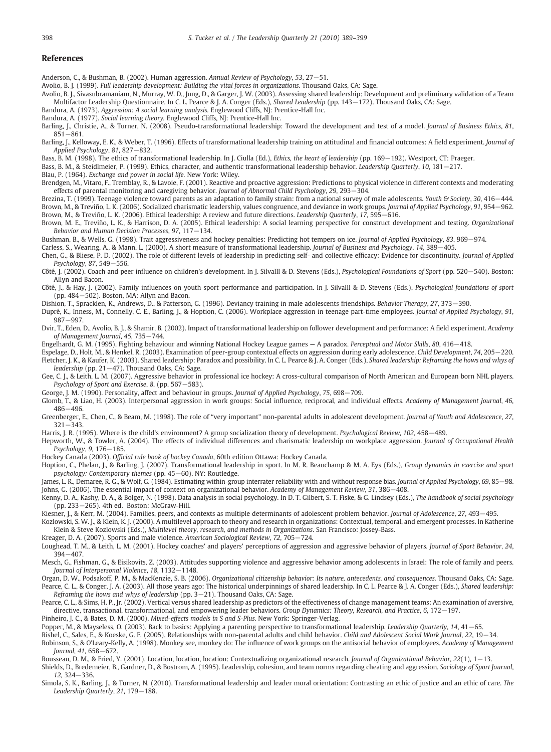#### <span id="page-9-0"></span>References

Anderson, C., & Bushman, B. (2002). Human aggression. Annual Review of Psychology, 53, 27−51.

Avolio, B. J. (1999). Full leadership development: Building the vital forces in organizations. Thousand Oaks, CA: Sage.

Avolio, B. J., Sivasubramaniam, N., Murray, W. D., Jung, D., & Garger, J. W. (2003). Assessing shared leadership: Development and preliminary validation of a Team Multifactor Leadership Questionnaire. In C. L. Pearce & J. A. Conger (Eds.), Shared Leadership (pp. 143−172). Thousand Oaks, CA: Sage.

Bandura, A. (1973). Aggression: A social learning analysis. Englewood Cliffs, NJ: Prentice-Hall Inc.

Bandura, A. (1977). Social learning theory. Englewood Cliffs, NJ: Prentice-Hall Inc.

Barling, J., Christie, A., & Turner, N. (2008). Pseudo-transformational leadership: Toward the development and test of a model. Journal of Business Ethics. 81. 851−861.

Barling, J., Kelloway, E. K., & Weber, T. (1996). Effects of transformational leadership training on attitudinal and financial outcomes: A field experiment. Journal of Applied Psychology, 81, 827−832.

Bass, B. M. (1998). The ethics of transformational leadership. In J. Ciulla (Ed.), Ethics, the heart of leadership (pp. 169−192). Westport, CT: Praeger.

Bass, B. M., & Steidlmeier, P. (1999). Ethics, character, and authentic transformational leadership behavior. Leadership Quarterly, 10, 181−217.

Blau, P. (1964). Exchange and power in social life. New York: Wiley.

Brendgen, M., Vitaro, F., Tremblay, R., & Lavoie, F. (2001). Reactive and proactive aggression: Predictions to physical violence in different contexts and moderating effects of parental monitoring and caregiving behavior. Journal of Abnormal Child Psychology, 29, 293−304.

Brezina, T. (1999). Teenage violence toward parents as an adaptation to family strain: from a national survey of male adolescents. Youth & Society, 30, 416–444. Brown, M., & Treviño, L. K. (2006). Socialized charismatic leadership, values congruence, and deviance in work groups. Journal of Applied Psychology, 91, 954−962. Brown, M., & Treviño, L. K. (2006). Ethical leadership: A review and future directions. Leadership Quarterly, 17, 595−616.

Brown, M. E., Treviño, L. K., & Harrison, D. A. (2005). Ethical leadership: A social learning perspective for construct development and testing. Organizational Behavior and Human Decision Processes, 97, 117−134.

Bushman, B., & Wells, G. (1998). Trait aggressiveness and hockey penalties: Predicting hot tempers on ice. Journal of Applied Psychology, 83, 969−974.

Carless, S., Wearing, A., & Mann, L. (2000). A short measure of transformational leadership. Journal of Business and Psychology, 14, 389−405.

Chen, G., & Bliese, P. D. (2002). The role of different levels of leadership in predicting self- and collective efficacy: Evidence for discontinuity. Journal of Applied Psychology, 87, 549−556.

Côté, J. (2002). Coach and peer influence on children's development. In J. SilvaIII & D. Stevens (Eds.), Psychological Foundations of Sport (pp. 520–540). Boston: Allyn and Bacon.

Côté, J., & Hay, J. (2002). Family influences on youth sport performance and participation. In J. SilvaIII & D. Stevens (Eds.), Psychological foundations of sport (pp. 484−502). Boston, MA: Allyn and Bacon.

Dishion, T., Spracklen, K., Andrews, D., & Patterson, G. (1996). Deviancy training in male adolescents friendships. Behavior Therapy, 27, 373−390.

Dupré, K., Inness, M., Connelly, C. E., Barling, J., & Hoption, C. (2006). Workplace aggression in teenage part-time employees. Journal of Applied Psychology, 91, 987−997.

Dvir, T., Eden, D., Avolio, B. J., & Shamir, B. (2002). Impact of transformational leadership on follower development and performance: A field experiment. Academy of Management Journal, 45, 735−744.

Engelhardt, G. M. (1995). Fighting behaviour and winning National Hockey League games — A paradox. Perceptual and Motor Skills, 80, 416−418.

Espelage, D., Holt, M., & Henkel, R. (2003). Examination of peer-group contextual effects on aggression during early adolescence. Child Development, 74, 205−220. Fletcher, J. K., & Kaufer, K. (2003). Shared leadership: Paradox and possibility. In C. L. Pearce & J. A. Conger (Eds.), Shared leadership: Reframing the hows and whys of leadership (pp. 21−47). Thousand Oaks, CA: Sage.

Gee, C. J., & Leith, L. M. (2007). Aggressive behavior in professional ice hockey: A cross-cultural comparison of North American and European born NHL players. Psychology of Sport and Exercise, 8. (pp. 567−583).

George, J. M. (1990). Personality, affect and behaviour in groups. Journal of Applied Psychology, 75, 698−709.

Glomb, T., & Liao, H. (2003). Interpersonal aggression in work groups: Social influence, reciprocal, and individual effects. Academy of Management Journal, 46, 486−496.

Greenberger, E., Chen, C., & Beam, M. (1998). The role of "very important" non-parental adults in adolescent development. Journal of Youth and Adolescence, 27, 321−343.

Harris, J. R. (1995). Where is the child's environment? A group socialization theory of development. Psychological Review, 102, 458−489.

Hepworth, W., & Towler, A. (2004). The effects of individual differences and charismatic leadership on workplace aggression. Journal of Occupational Health Psychology, 9, 176−185.

Hockey Canada (2003). Official rule book of hockey Canada, 60th edition Ottawa: Hockey Canada.

Hoption, C., Phelan, J., & Barling, J. (2007). Transformational leadership in sport. In M. R. Beauchamp & M. A. Eys (Eds.), Group dynamics in exercise and sport psychology: Contemporary themes (pp. 45−60). NY: Routledge.

James, L. R., Demaree, R. G., & Wolf, G. (1984). Estimating within-group interrater reliability with and without response bias. Journal of Applied Psychology, 69, 85−98. Johns, G. (2006). The essential impact of context on organizational behavior. Academy of Management Review, 31, 386−408.

Kenny, D. A., Kashy, D. A., & Bolger, N. (1998). Data analysis in social psychology. In D. T. Gilbert, S. T. Fiske, & G. Lindsey (Eds.), The handbook of social psychology (pp. 233−265). 4th ed. Boston: McGraw-Hill.

Kiesner, J., & Kerr, M. (2004). Families, peers, and contexts as multiple determinants of adolescent problem behavior. Journal of Adolescence, 27, 493−495.

Kozlowski, S. W. J., & Klein, K. J. (2000). A multilevel approach to theory and research in organizations: Contextual, temporal, and emergent processes. In Katherine Klein & Steve Kozlowski (Eds.), Multilevel theory, research, and methods in Organizations. San Francisco: Jossey-Bass.

Kreager, D. A. (2007). Sports and male violence. American Sociological Review, 72, 705−724.

Loughead, T. M., & Leith, L. M. (2001). Hockey coaches' and players' perceptions of aggression and aggressive behavior of players. Journal of Sport Behavior, 24, 394−407.

Mesch, G., Fishman, G., & Eisikovits, Z. (2003). Attitudes supporting violence and aggressive behavior among adolescents in Israel: The role of family and peers. Journal of Interpersonal Violence, 18, 1132−1148.

Organ, D. W., Podsakoff, P. M., & MacKenzie, S. B. (2006). Organizational citizenship behavior: Its nature, antecedents, and consequences. Thousand Oaks, CA: Sage. Pearce, C. L., & Conger, J. A. (2003). All those years ago: The historical underpinnings of shared leadership. In C. L. Pearce & J. A. Conger (Eds.), Shared leadership: Reframing the hows and whys of leadership (pp. 3−21). Thousand Oaks, CA: Sage.

Pearce, C. L., & Sims, H. P., Jr. (2002). Vertical versus shared leadership as predictors of the effectiveness of change management teams: An examination of aversive, directive, transactional, transformational, and empowering leader behaviors. Group Dynamics: Theory, Research, and Practice, 6, 172−197.

Pinheiro, J. C., & Bates, D. M. (2000). Mixed-effects models in S and S-Plus. New York: Springer-Verlag.

Popper, M., & Mayseless, O. (2003). Back to basics: Applying a parenting perspective to transformational leadership. Leadership Quarterly, 14, 41−65.

Rishel, C., Sales, E., & Koeske, G. F. (2005). Relationships with non-parental adults and child behavior. Child and Adolescent Social Work Journal, 22, 19−34.

Robinson, S., & O'Leary-Kelly, A. (1998). Monkey see, monkey do: The influence of work groups on the antisocial behavior of employees. Academy of Management Journal, 41, 658−672.

Rousseau, D. M., & Fried, Y. (2001). Location, location, location: Contextualizing organizational research. Journal of Organizational Behavior, 22(1), 1−13. Shields, D., Bredemeier, B., Gardner, D., & Bostrom, A. (1995). Leadership, cohesion, and team norms regarding cheating and aggression. Sociology of Sport Journal,

12, 324−336.

Simola, S. K., Barling, J., & Turner, N. (2010). Transformational leadership and leader moral orientation: Contrasting an ethic of justice and an ethic of care. The Leadership Quarterly, 21, 179−188.